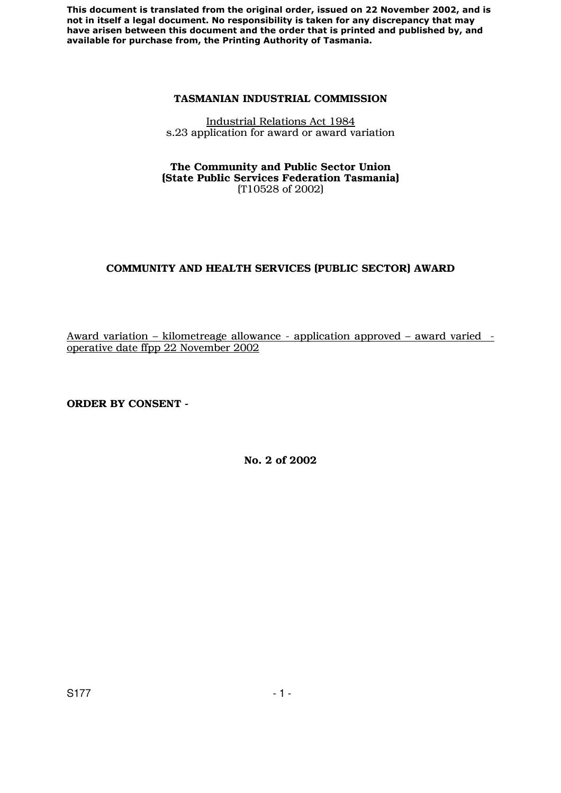#### **TASMANIAN INDUSTRIAL COMMISSION**

Industrial Relations Act 1984 s.23 application for award or award variation

#### **The Community and Public Sector Union (State Public Services Federation Tasmania)**  (T10528 of 2002)

# **COMMUNITY AND HEALTH SERVICES (PUBLIC SECTOR) AWARD**

Award variation – kilometreage allowance - application approved – award varied operative date ffpp 22 November 2002

**ORDER BY CONSENT -** 

**No. 2 of 2002**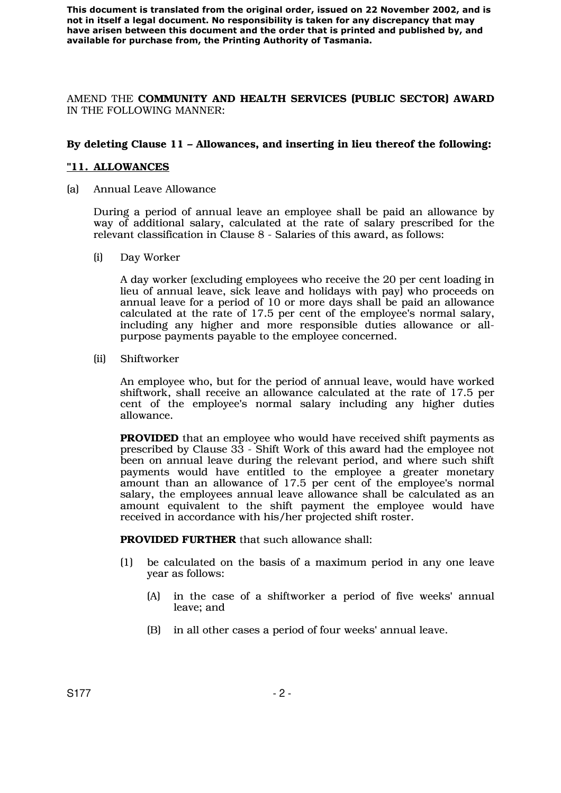AMEND THE **COMMUNITY AND HEALTH SERVICES (PUBLIC SECTOR) AWARD** IN THE FOLLOWING MANNER:

## **By deleting Clause 11 – Allowances, and inserting in lieu thereof the following:**

### **"11. ALLOWANCES**

(a) Annual Leave Allowance

During a period of annual leave an employee shall be paid an allowance by way of additional salary, calculated at the rate of salary prescribed for the relevant classification in Clause 8 - Salaries of this award, as follows:

(i) Day Worker

A day worker (excluding employees who receive the 20 per cent loading in lieu of annual leave, sick leave and holidays with pay) who proceeds on annual leave for a period of 10 or more days shall be paid an allowance calculated at the rate of 17.5 per cent of the employee's normal salary, including any higher and more responsible duties allowance or allpurpose payments payable to the employee concerned.

(ii) Shiftworker

An employee who, but for the period of annual leave, would have worked shiftwork, shall receive an allowance calculated at the rate of 17.5 per cent of the employee's normal salary including any higher duties allowance.

**PROVIDED** that an employee who would have received shift payments as prescribed by Clause 33 - Shift Work of this award had the employee not been on annual leave during the relevant period, and where such shift payments would have entitled to the employee a greater monetary amount than an allowance of 17.5 per cent of the employee's normal salary, the employees annual leave allowance shall be calculated as an amount equivalent to the shift payment the employee would have received in accordance with his/her projected shift roster.

 **PROVIDED FURTHER** that such allowance shall:

- (1) be calculated on the basis of a maximum period in any one leave year as follows:
	- (A) in the case of a shiftworker a period of five weeks' annual leave; and
	- (B) in all other cases a period of four weeks' annual leave.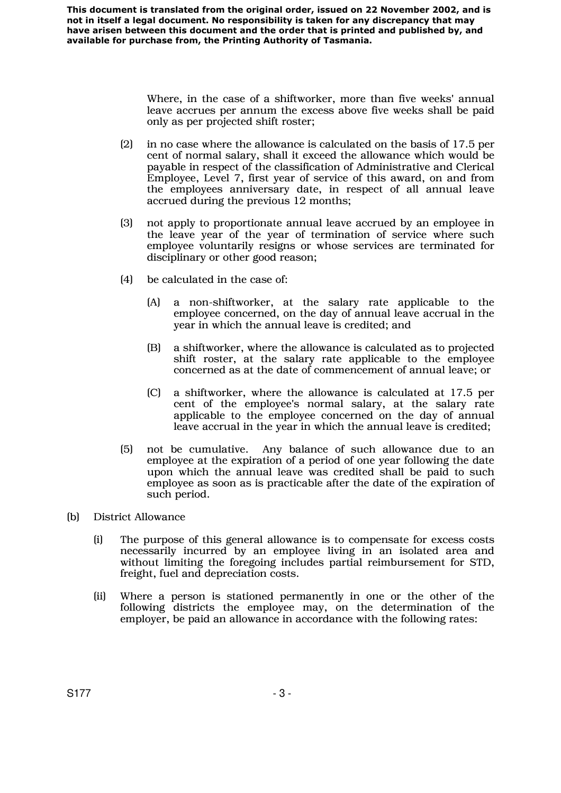> Where, in the case of a shiftworker, more than five weeks' annual leave accrues per annum the excess above five weeks shall be paid only as per projected shift roster;

- (2) in no case where the allowance is calculated on the basis of 17.5 per cent of normal salary, shall it exceed the allowance which would be payable in respect of the classification of Administrative and Clerical Employee, Level 7, first year of service of this award, on and from the employees anniversary date, in respect of all annual leave accrued during the previous 12 months;
- (3) not apply to proportionate annual leave accrued by an employee in the leave year of the year of termination of service where such employee voluntarily resigns or whose services are terminated for disciplinary or other good reason;
- (4) be calculated in the case of:
	- (A) a non-shiftworker, at the salary rate applicable to the employee concerned, on the day of annual leave accrual in the year in which the annual leave is credited; and
	- (B) a shiftworker, where the allowance is calculated as to projected shift roster, at the salary rate applicable to the employee concerned as at the date of commencement of annual leave; or
	- (C) a shiftworker, where the allowance is calculated at 17.5 per cent of the employee's normal salary, at the salary rate applicable to the employee concerned on the day of annual leave accrual in the year in which the annual leave is credited;
- (5) not be cumulative. Any balance of such allowance due to an employee at the expiration of a period of one year following the date upon which the annual leave was credited shall be paid to such employee as soon as is practicable after the date of the expiration of such period.
- (b) District Allowance
	- (i) The purpose of this general allowance is to compensate for excess costs necessarily incurred by an employee living in an isolated area and without limiting the foregoing includes partial reimbursement for STD, freight, fuel and depreciation costs.
	- (ii) Where a person is stationed permanently in one or the other of the following districts the employee may, on the determination of the employer, be paid an allowance in accordance with the following rates: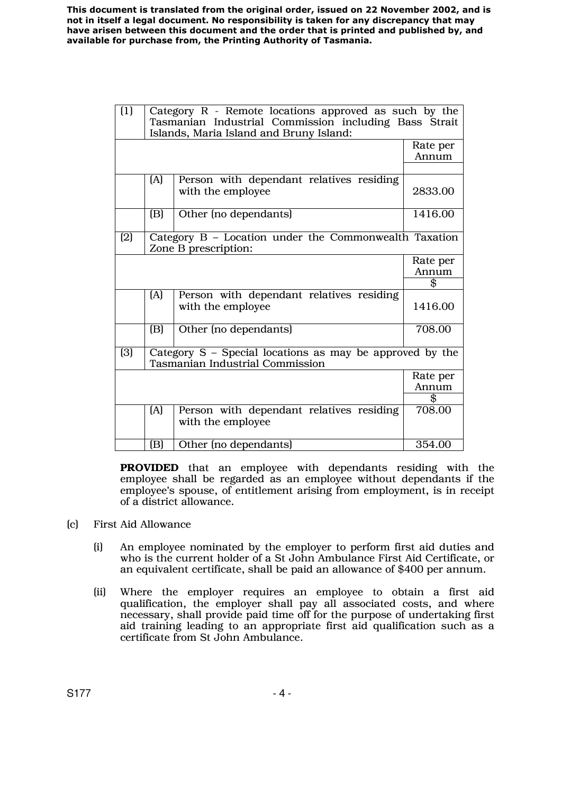| $\overline{1}$ | Category $R$ - Remote locations approved as such by the<br>Tasmanian Industrial Commission including Bass Strait<br>Islands, Maria Island and Bruny Island: |                                                                                                      |                   |
|----------------|-------------------------------------------------------------------------------------------------------------------------------------------------------------|------------------------------------------------------------------------------------------------------|-------------------|
|                |                                                                                                                                                             |                                                                                                      | Rate per<br>Annum |
|                |                                                                                                                                                             |                                                                                                      |                   |
|                | (A)                                                                                                                                                         | Person with dependant relatives residing<br>with the employee                                        | 2833.00           |
|                | (B)                                                                                                                                                         | Other (no dependants)                                                                                | 1416.00           |
| (2)            | Category B - Location under the Commonwealth Taxation<br>Zone B prescription:                                                                               |                                                                                                      |                   |
|                |                                                                                                                                                             |                                                                                                      | Rate per          |
|                |                                                                                                                                                             |                                                                                                      | Annum             |
|                |                                                                                                                                                             |                                                                                                      | \$                |
|                | [A]                                                                                                                                                         | Person with dependant relatives residing<br>with the employee                                        | 1416.00           |
|                | (B)                                                                                                                                                         | Other (no dependants)                                                                                | 708.00            |
| (3)            |                                                                                                                                                             | Category $S$ – Special locations as may be approved by the<br><b>Tasmanian Industrial Commission</b> |                   |
|                |                                                                                                                                                             |                                                                                                      | Rate per          |
|                |                                                                                                                                                             |                                                                                                      | Annum             |
|                |                                                                                                                                                             |                                                                                                      | \$                |
|                | (A)                                                                                                                                                         | Person with dependant relatives residing<br>with the employee                                        | 708.00            |
|                | (B)                                                                                                                                                         | Other (no dependants)                                                                                | 354.00            |

 **PROVIDED** that an employee with dependants residing with the employee shall be regarded as an employee without dependants if the employee's spouse, of entitlement arising from employment, is in receipt of a district allowance.

- (c) First Aid Allowance
	- (i) An employee nominated by the employer to perform first aid duties and who is the current holder of a St John Ambulance First Aid Certificate, or an equivalent certificate, shall be paid an allowance of \$400 per annum.
	- (ii) Where the employer requires an employee to obtain a first aid qualification, the employer shall pay all associated costs, and where necessary, shall provide paid time off for the purpose of undertaking first aid training leading to an appropriate first aid qualification such as a certificate from St John Ambulance.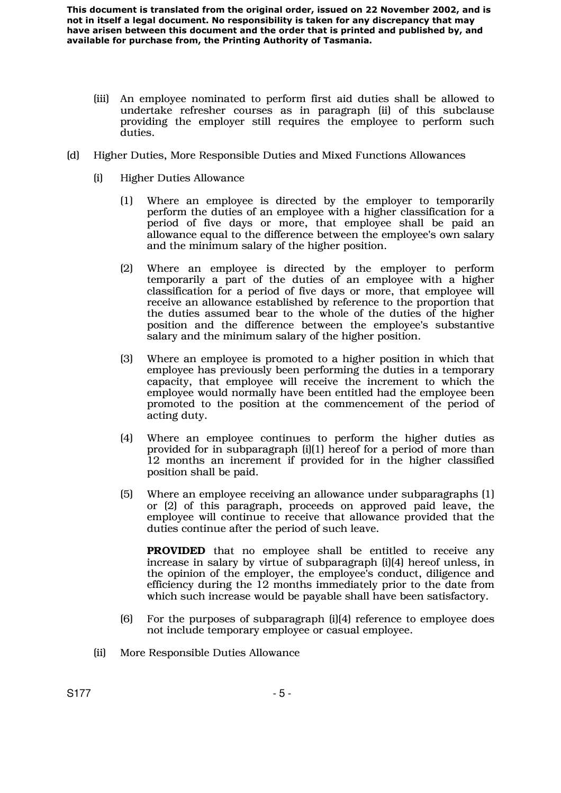- (iii) An employee nominated to perform first aid duties shall be allowed to undertake refresher courses as in paragraph (ii) of this subclause providing the employer still requires the employee to perform such duties.
- (d) Higher Duties, More Responsible Duties and Mixed Functions Allowances
	- (i) Higher Duties Allowance
		- (1) Where an employee is directed by the employer to temporarily perform the duties of an employee with a higher classification for a period of five days or more, that employee shall be paid an allowance equal to the difference between the employee's own salary and the minimum salary of the higher position.
		- (2) Where an employee is directed by the employer to perform temporarily a part of the duties of an employee with a higher classification for a period of five days or more, that employee will receive an allowance established by reference to the proportion that the duties assumed bear to the whole of the duties of the higher position and the difference between the employee's substantive salary and the minimum salary of the higher position.
		- (3) Where an employee is promoted to a higher position in which that employee has previously been performing the duties in a temporary capacity, that employee will receive the increment to which the employee would normally have been entitled had the employee been promoted to the position at the commencement of the period of acting duty.
		- (4) Where an employee continues to perform the higher duties as provided for in subparagraph  $[i][1]$  hereof for a period of more than 12 months an increment if provided for in the higher classified position shall be paid.
		- (5) Where an employee receiving an allowance under subparagraphs (1) or (2) of this paragraph, proceeds on approved paid leave, the employee will continue to receive that allowance provided that the duties continue after the period of such leave.

**PROVIDED** that no employee shall be entitled to receive any increase in salary by virtue of subparagraph (i)(4) hereof unless, in the opinion of the employer, the employee's conduct, diligence and efficiency during the 12 months immediately prior to the date from which such increase would be payable shall have been satisfactory.

- (6) For the purposes of subparagraph (i)(4) reference to employee does not include temporary employee or casual employee.
- (ii) More Responsible Duties Allowance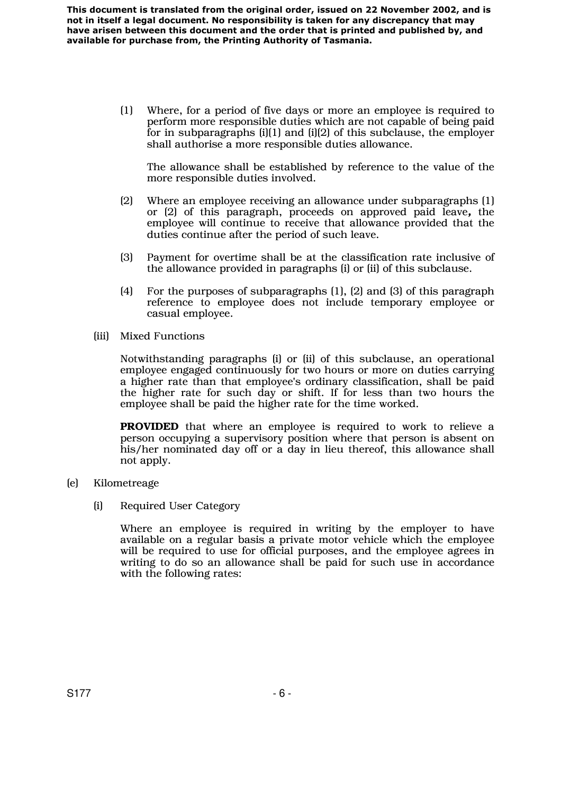> (1) Where, for a period of five days or more an employee is required to perform more responsible duties which are not capable of being paid for in subparagraphs (i)(1) and (i)(2) of this subclause, the employer shall authorise a more responsible duties allowance.

The allowance shall be established by reference to the value of the more responsible duties involved.

- (2) Where an employee receiving an allowance under subparagraphs (1) or (2) of this paragraph, proceeds on approved paid leave*,* the employee will continue to receive that allowance provided that the duties continue after the period of such leave.
- (3) Payment for overtime shall be at the classification rate inclusive of the allowance provided in paragraphs (i) or (ii) of this subclause.
- (4) For the purposes of subparagraphs (1), (2) and (3) of this paragraph reference to employee does not include temporary employee or casual employee.
- (iii) Mixed Functions

Notwithstanding paragraphs (i) or (ii) of this subclause, an operational employee engaged continuously for two hours or more on duties carrying a higher rate than that employee's ordinary classification, shall be paid the higher rate for such day or shift. If for less than two hours the employee shall be paid the higher rate for the time worked.

**PROVIDED** that where an employee is required to work to relieve a person occupying a supervisory position where that person is absent on his/her nominated day off or a day in lieu thereof, this allowance shall not apply.

- (e) Kilometreage
	- (i) Required User Category

Where an employee is required in writing by the employer to have available on a regular basis a private motor vehicle which the employee will be required to use for official purposes, and the employee agrees in writing to do so an allowance shall be paid for such use in accordance with the following rates: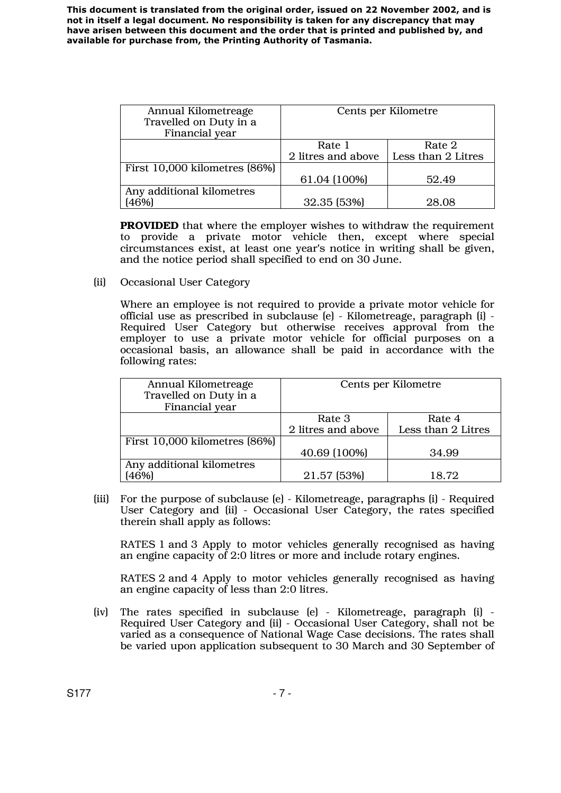| Annual Kilometreage           | Cents per Kilometre |                    |
|-------------------------------|---------------------|--------------------|
| Travelled on Duty in a        |                     |                    |
| Financial year                |                     |                    |
|                               | Rate 1              | Rate 2             |
|                               | 2 litres and above  | Less than 2 Litres |
| First 10,000 kilometres [86%] |                     |                    |
|                               | 61.04 (100%)        | 52.49              |
| Any additional kilometres     |                     |                    |
| [46%]                         | 32.35 (53%)         | 28.08              |

**PROVIDED** that where the employer wishes to withdraw the requirement to provide a private motor vehicle then, except where special circumstances exist, at least one year's notice in writing shall be given, and the notice period shall specified to end on 30 June.

(ii) Occasional User Category

Where an employee is not required to provide a private motor vehicle for official use as prescribed in subclause (e) - Kilometreage, paragraph (i) - Required User Category but otherwise receives approval from the employer to use a private motor vehicle for official purposes on a occasional basis, an allowance shall be paid in accordance with the following rates:

| Annual Kilometreage<br>Travelled on Duty in a<br>Financial year | Cents per Kilometre |                    |
|-----------------------------------------------------------------|---------------------|--------------------|
|                                                                 | Rate 3              | Rate 4             |
|                                                                 | 2 litres and above  | Less than 2 Litres |
| First 10,000 kilometres [86%]                                   |                     |                    |
|                                                                 | 40.69 (100%)        | 34.99              |
| Any additional kilometres                                       |                     |                    |
| 46%]                                                            | 21.57 (53%)         | 18.72              |

 (iii) For the purpose of subclause (e) - Kilometreage, paragraphs (i) - Required User Category and (ii) - Occasional User Category, the rates specified therein shall apply as follows:

RATES 1 and 3 Apply to motor vehicles generally recognised as having an engine capacity of 2:0 litres or more and include rotary engines.

RATES 2 and 4 Apply to motor vehicles generally recognised as having an engine capacity of less than 2:0 litres.

(iv) The rates specified in subclause (e) - Kilometreage, paragraph (i) - Required User Category and (ii) - Occasional User Category, shall not be varied as a consequence of National Wage Case decisions. The rates shall be varied upon application subsequent to 30 March and 30 September of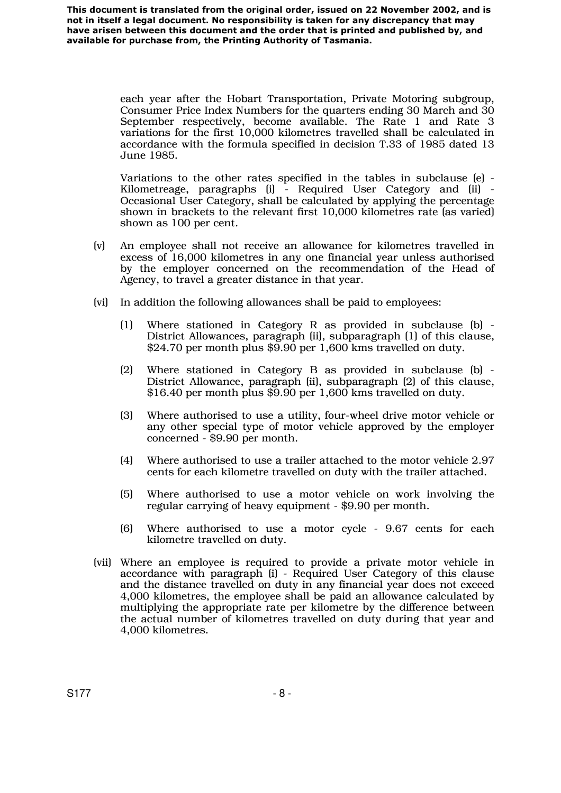> each year after the Hobart Transportation, Private Motoring subgroup, Consumer Price Index Numbers for the quarters ending 30 March and 30 September respectively, become available. The Rate 1 and Rate 3 variations for the first 10,000 kilometres travelled shall be calculated in accordance with the formula specified in decision T.33 of 1985 dated 13 June 1985.

> Variations to the other rates specified in the tables in subclause (e) - Kilometreage, paragraphs (i) - Required User Category and (ii) - Occasional User Category, shall be calculated by applying the percentage shown in brackets to the relevant first 10,000 kilometres rate (as varied) shown as 100 per cent.

- (v) An employee shall not receive an allowance for kilometres travelled in excess of 16,000 kilometres in any one financial year unless authorised by the employer concerned on the recommendation of the Head of Agency, to travel a greater distance in that year.
- (vi) In addition the following allowances shall be paid to employees:
	- (1) Where stationed in Category R as provided in subclause (b) District Allowances, paragraph (ii), subparagraph (1) of this clause, \$24.70 per month plus \$9.90 per 1,600 kms travelled on duty.
	- (2) Where stationed in Category B as provided in subclause (b) District Allowance, paragraph (ii), subparagraph (2) of this clause, \$16.40 per month plus \$9.90 per 1,600 kms travelled on duty.
	- (3) Where authorised to use a utility, four-wheel drive motor vehicle or any other special type of motor vehicle approved by the employer concerned - \$9.90 per month.
	- (4) Where authorised to use a trailer attached to the motor vehicle 2.97 cents for each kilometre travelled on duty with the trailer attached.
	- (5) Where authorised to use a motor vehicle on work involving the regular carrying of heavy equipment - \$9.90 per month.
	- (6) Where authorised to use a motor cycle 9.67 cents for each kilometre travelled on duty.
- (vii) Where an employee is required to provide a private motor vehicle in accordance with paragraph (i) - Required User Category of this clause and the distance travelled on duty in any financial year does not exceed 4,000 kilometres, the employee shall be paid an allowance calculated by multiplying the appropriate rate per kilometre by the difference between the actual number of kilometres travelled on duty during that year and 4,000 kilometres.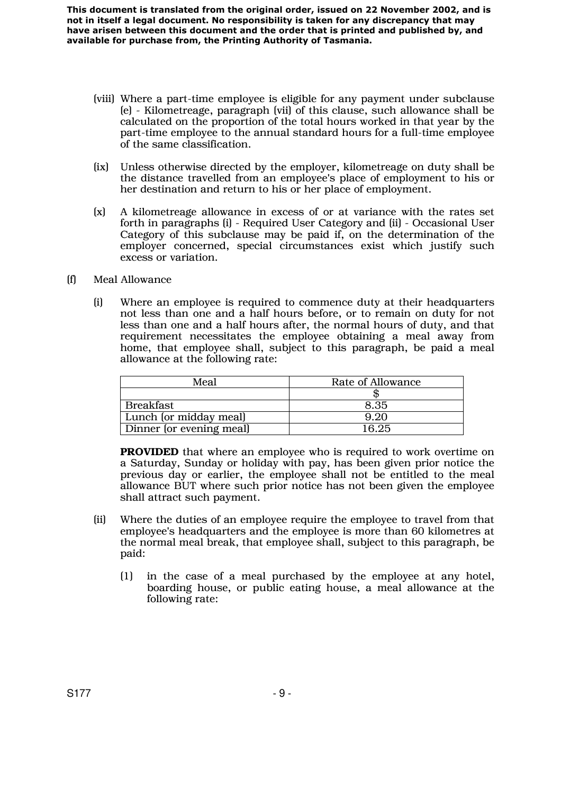- (viii) Where a part-time employee is eligible for any payment under subclause (e) - Kilometreage, paragraph (vii) of this clause, such allowance shall be calculated on the proportion of the total hours worked in that year by the part-time employee to the annual standard hours for a full-time employee of the same classification.
- (ix) Unless otherwise directed by the employer, kilometreage on duty shall be the distance travelled from an employee's place of employment to his or her destination and return to his or her place of employment.
- (x) A kilometreage allowance in excess of or at variance with the rates set forth in paragraphs (i) - Required User Category and (ii) - Occasional User Category of this subclause may be paid if, on the determination of the employer concerned, special circumstances exist which justify such excess or variation.
- (f) Meal Allowance
	- (i) Where an employee is required to commence duty at their headquarters not less than one and a half hours before, or to remain on duty for not less than one and a half hours after, the normal hours of duty, and that requirement necessitates the employee obtaining a meal away from home, that employee shall, subject to this paragraph, be paid a meal allowance at the following rate:

| Meal                     | Rate of Allowance |  |  |
|--------------------------|-------------------|--|--|
|                          |                   |  |  |
| <b>Breakfast</b>         | 8.35              |  |  |
| Lunch (or midday meal)   | 9.20              |  |  |
| Dinner (or evening meal) | 16.25             |  |  |

**PROVIDED** that where an employee who is required to work overtime on a Saturday, Sunday or holiday with pay, has been given prior notice the previous day or earlier, the employee shall not be entitled to the meal allowance BUT where such prior notice has not been given the employee shall attract such payment.

- (ii) Where the duties of an employee require the employee to travel from that employee's headquarters and the employee is more than 60 kilometres at the normal meal break, that employee shall, subject to this paragraph, be paid:
	- (1) in the case of a meal purchased by the employee at any hotel, boarding house, or public eating house, a meal allowance at the following rate: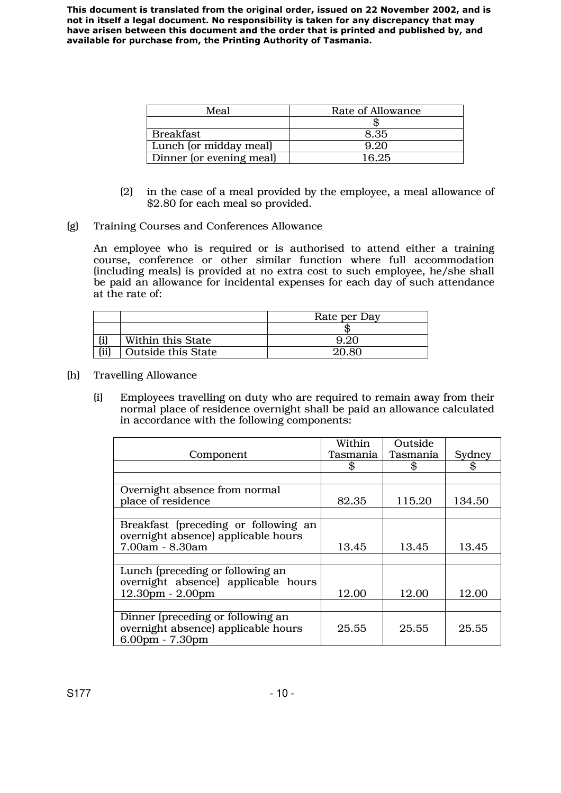| Meal                     | Rate of Allowance |  |
|--------------------------|-------------------|--|
|                          |                   |  |
| <b>Breakfast</b>         | 8.35              |  |
| Lunch (or midday meal)   | 9.20              |  |
| Dinner (or evening meal) | 16.25             |  |

- (2) in the case of a meal provided by the employee, a meal allowance of \$2.80 for each meal so provided.
- (g) Training Courses and Conferences Allowance

An employee who is required or is authorised to attend either a training course, conference or other similar function where full accommodation (including meals) is provided at no extra cost to such employee, he/she shall be paid an allowance for incidental expenses for each day of such attendance at the rate of:

|      |                           | Rate per Day |
|------|---------------------------|--------------|
|      |                           |              |
|      | Within this State         |              |
| (ii) | <b>Outside this State</b> | 20 RC        |

- (h) Travelling Allowance
	- (i) Employees travelling on duty who are required to remain away from their normal place of residence overnight shall be paid an allowance calculated in accordance with the following components:

|                                                                                               | Within   | Outside  |        |
|-----------------------------------------------------------------------------------------------|----------|----------|--------|
| Component                                                                                     | Tasmania | Tasmania | Sydney |
|                                                                                               | \$       |          |        |
|                                                                                               |          |          |        |
| Overnight absence from normal                                                                 |          |          |        |
| place of residence                                                                            | 82.35    | 115.20   | 134.50 |
|                                                                                               |          |          |        |
| Breakfast (preceding or following an<br>overnight absence) applicable hours                   |          |          |        |
| 7.00am - 8.30am                                                                               | 13.45    | 13.45    | 13.45  |
|                                                                                               |          |          |        |
| Lunch (preceding or following an<br>overnight absence) applicable hours                       |          |          |        |
| $12.30pm - 2.00pm$                                                                            | 12.00    | 12.00    | 12.00  |
|                                                                                               |          |          |        |
| Dinner (preceding or following an<br>overnight absence) applicable hours<br>$6.00pm - 7.30pm$ | 25.55    | 25.55    | 25.55  |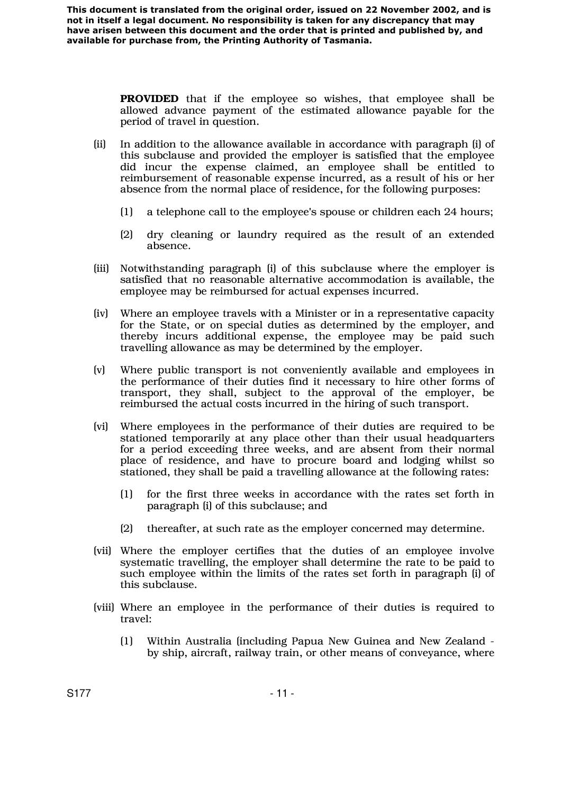> **PROVIDED** that if the employee so wishes, that employee shall be allowed advance payment of the estimated allowance payable for the period of travel in question.

- (ii) In addition to the allowance available in accordance with paragraph (i) of this subclause and provided the employer is satisfied that the employee did incur the expense claimed, an employee shall be entitled to reimbursement of reasonable expense incurred, as a result of his or her absence from the normal place of residence, for the following purposes:
	- (1) a telephone call to the employee's spouse or children each 24 hours;
	- (2) dry cleaning or laundry required as the result of an extended absence.
- (iii) Notwithstanding paragraph (i) of this subclause where the employer is satisfied that no reasonable alternative accommodation is available, the employee may be reimbursed for actual expenses incurred.
- (iv) Where an employee travels with a Minister or in a representative capacity for the State, or on special duties as determined by the employer, and thereby incurs additional expense, the employee may be paid such travelling allowance as may be determined by the employer.
- (v) Where public transport is not conveniently available and employees in the performance of their duties find it necessary to hire other forms of transport, they shall, subject to the approval of the employer, be reimbursed the actual costs incurred in the hiring of such transport.
- (vi) Where employees in the performance of their duties are required to be stationed temporarily at any place other than their usual headquarters for a period exceeding three weeks, and are absent from their normal place of residence, and have to procure board and lodging whilst so stationed, they shall be paid a travelling allowance at the following rates:
	- (1) for the first three weeks in accordance with the rates set forth in paragraph (i) of this subclause; and
	- (2) thereafter, at such rate as the employer concerned may determine.
- (vii) Where the employer certifies that the duties of an employee involve systematic travelling, the employer shall determine the rate to be paid to such employee within the limits of the rates set forth in paragraph (i) of this subclause.
- (viii) Where an employee in the performance of their duties is required to travel:
	- (1) Within Australia (including Papua New Guinea and New Zealand by ship, aircraft, railway train, or other means of conveyance, where